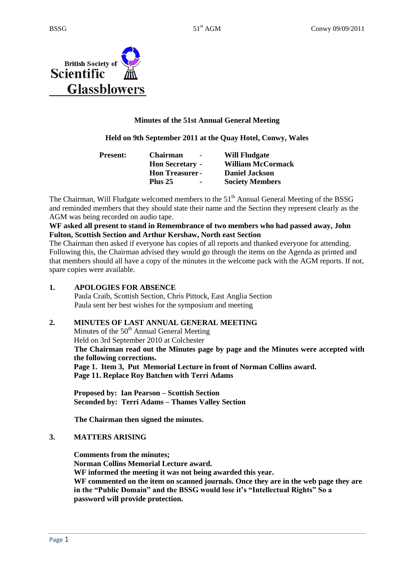

# **Minutes of the 51st Annual General Meeting**

### **Held on 9th September 2011 at the Quay Hotel, Conwy, Wales**

| <b>Present:</b> | <b>Chairman</b><br>$\overline{\phantom{a}}$ | <b>Will Fludgate</b>     |
|-----------------|---------------------------------------------|--------------------------|
|                 | <b>Hon Secretary -</b>                      | <b>William McCormack</b> |
|                 | <b>Hon Treasurer-</b>                       | <b>Daniel Jackson</b>    |
|                 | <b>Plus 25</b><br>$\blacksquare$            | <b>Society Members</b>   |

The Chairman, Will Fludgate welcomed members to the  $51<sup>th</sup>$  Annual General Meeting of the BSSG and reminded members that they should state their name and the Section they represent clearly as the AGM was being recorded on audio tape.

### **WF asked all present to stand in Remembrance of two members who had passed away, John Fulton, Scottish Section and Arthur Kershaw, North east Section**

The Chairman then asked if everyone has copies of all reports and thanked everyone for attending. Following this, the Chairman advised they would go through the items on the Agenda as printed and that members should all have a copy of the minutes in the welcome pack with the AGM reports. If not, spare copies were available.

### **1. APOLOGIES FOR ABSENCE**

 Paula Craib, Scottish Section, Chris Pittock, East Anglia Section Paula sent her best wishes for the symposium and meeting

### **2. MINUTES OF LAST ANNUAL GENERAL MEETING**

Minutes of the  $50<sup>th</sup>$  Annual General Meeting Held on 3rd September 2010 at Colchester **The Chairman read out the Minutes page by page and the Minutes were accepted with the following corrections. Page 1. Item 3, Put Memorial Lecture in front of Norman Collins award. Page 11. Replace Roy Batchen with Terri Adams**

**Proposed by: Ian Pearson – Scottish Section Seconded by: Terri Adams – Thames Valley Section**

**The Chairman then signed the minutes.** 

### **3. MATTERS ARISING**

**Comments from the minutes; Norman Collins Memorial Lecture award. WF informed the meeting it was not being awarded this year. WF commented on the item on scanned journals. Once they are in the web page they are in the "Public Domain" and the BSSG would lose it's "Intellectual Rights" So a password will provide protection.**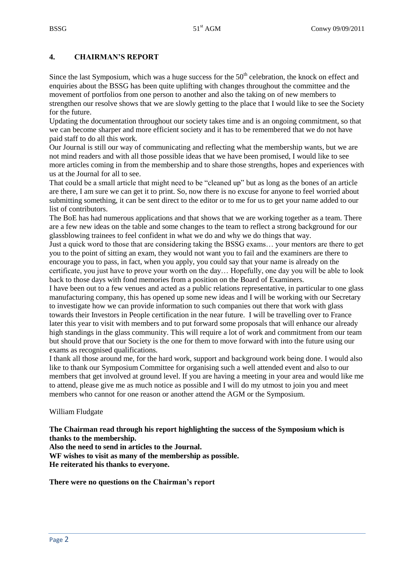# **4. CHAIRMAN'S REPORT**

Since the last Symposium, which was a huge success for the  $50<sup>th</sup>$  celebration, the knock on effect and enquiries about the BSSG has been quite uplifting with changes throughout the committee and the movement of portfolios from one person to another and also the taking on of new members to strengthen our resolve shows that we are slowly getting to the place that I would like to see the Society for the future.

Updating the documentation throughout our society takes time and is an ongoing commitment, so that we can become sharper and more efficient society and it has to be remembered that we do not have paid staff to do all this work.

Our Journal is still our way of communicating and reflecting what the membership wants, but we are not mind readers and with all those possible ideas that we have been promised, I would like to see more articles coming in from the membership and to share those strengths, hopes and experiences with us at the Journal for all to see.

That could be a small article that might need to be "cleaned up" but as long as the bones of an article are there, I am sure we can get it to print. So, now there is no excuse for anyone to feel worried about submitting something, it can be sent direct to the editor or to me for us to get your name added to our list of contributors.

The BoE has had numerous applications and that shows that we are working together as a team. There are a few new ideas on the table and some changes to the team to reflect a strong background for our glassblowing trainees to feel confident in what we do and why we do things that way.

Just a quick word to those that are considering taking the BSSG exams… your mentors are there to get you to the point of sitting an exam, they would not want you to fail and the examiners are there to encourage you to pass, in fact, when you apply, you could say that your name is already on the certificate, you just have to prove your worth on the day… Hopefully, one day you will be able to look back to those days with fond memories from a position on the Board of Examiners.

I have been out to a few venues and acted as a public relations representative, in particular to one glass manufacturing company, this has opened up some new ideas and I will be working with our Secretary to investigate how we can provide information to such companies out there that work with glass towards their Investors in People certification in the near future. I will be travelling over to France later this year to visit with members and to put forward some proposals that will enhance our already high standings in the glass community. This will require a lot of work and commitment from our team but should prove that our Society is the one for them to move forward with into the future using our exams as recognised qualifications.

I thank all those around me, for the hard work, support and background work being done. I would also like to thank our Symposium Committee for organising such a well attended event and also to our members that get involved at ground level. If you are having a meeting in your area and would like me to attend, please give me as much notice as possible and I will do my utmost to join you and meet members who cannot for one reason or another attend the AGM or the Symposium.

William Fludgate

**The Chairman read through his report highlighting the success of the Symposium which is thanks to the membership.**

**Also the need to send in articles to the Journal. WF wishes to visit as many of the membership as possible. He reiterated his thanks to everyone.**

**There were no questions on the Chairman's report**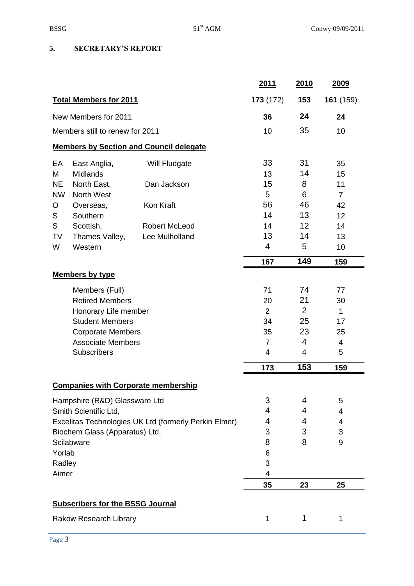# **5. SECRETARY'S REPORT**

|                                                       |                                         |                                                | <u>2011</u>    | <b>2010</b>    | 2009            |
|-------------------------------------------------------|-----------------------------------------|------------------------------------------------|----------------|----------------|-----------------|
|                                                       | <b>Total Members for 2011</b>           |                                                | 173 (172)      | 153            | 161 (159)       |
|                                                       | New Members for 2011                    |                                                | 36             | 24             | 24              |
|                                                       | Members still to renew for 2011         |                                                | 10             | 35             | 10              |
|                                                       |                                         | <b>Members by Section and Council delegate</b> |                |                |                 |
| EA                                                    | East Anglia,                            | Will Fludgate                                  | 33             | 31             | 35              |
| M                                                     | <b>Midlands</b>                         |                                                | 13             | 14             | 15              |
| <b>NE</b>                                             | North East,                             | Dan Jackson                                    | 15             | 8              | 11              |
| <b>NW</b>                                             | North West                              |                                                | 5              | 6              | $\overline{7}$  |
| O                                                     | Overseas,                               | Kon Kraft                                      | 56             | 46             | 42              |
| S                                                     | Southern                                |                                                | 14             | 13             | 12 <sub>2</sub> |
| S                                                     | Scottish,                               | <b>Robert McLeod</b>                           | 14             | 12             | 14              |
| TV                                                    | Thames Valley,                          | Lee Mulholland                                 | 13             | 14             | 13              |
| W                                                     | Western                                 |                                                | 4              | 5              | 10              |
|                                                       |                                         |                                                | 167            | 149            | 159             |
|                                                       | <b>Members by type</b>                  |                                                |                |                |                 |
|                                                       | Members (Full)                          |                                                | 71             | 74             | 77              |
|                                                       | <b>Retired Members</b>                  |                                                | 20             | 21             | 30              |
|                                                       | Honorary Life member                    |                                                | 2              | $\overline{2}$ | $\mathbf{1}$    |
|                                                       | <b>Student Members</b>                  |                                                | 34             | 25             | 17              |
|                                                       | <b>Corporate Members</b>                |                                                | 35             | 23             | 25              |
|                                                       | <b>Associate Members</b>                |                                                | $\overline{7}$ | 4              | 4               |
|                                                       | Subscribers                             |                                                | $\overline{4}$ | 4              | 5               |
|                                                       |                                         |                                                | 173            | 153            | 159             |
|                                                       |                                         | <b>Companies with Corporate membership</b>     |                |                |                 |
|                                                       | Hampshire (R&D) Glassware Ltd           |                                                | 3              | 4              | 5               |
| Smith Scientific Ltd,                                 |                                         | 4                                              | 4              | 4              |                 |
| Excelitas Technologies UK Ltd (formerly Perkin Elmer) |                                         | 4                                              | 4              | 4              |                 |
| Biochem Glass (Apparatus) Ltd,                        |                                         | 3                                              | 3              | 3              |                 |
| Scilabware                                            |                                         | 8                                              | 8              | 9              |                 |
| Yorlab                                                |                                         | 6                                              |                |                |                 |
| Radley                                                |                                         | 3                                              |                |                |                 |
| Aimer                                                 |                                         |                                                | 4              |                |                 |
|                                                       |                                         |                                                | 35             | 23             | 25              |
|                                                       | <b>Subscribers for the BSSG Journal</b> |                                                |                |                |                 |
| Rakow Research Library                                |                                         | 1                                              | 1              | 1              |                 |
|                                                       |                                         |                                                |                |                |                 |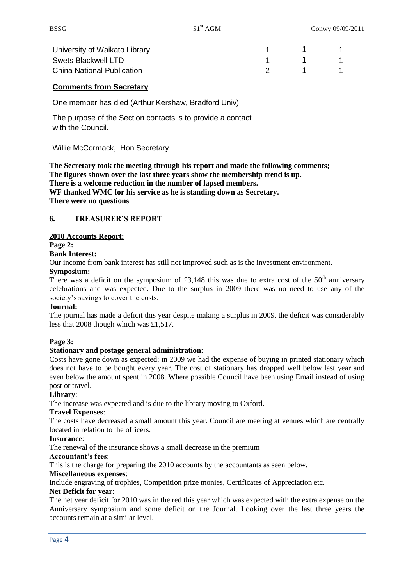| University of Waikato Library     |                                        |  |
|-----------------------------------|----------------------------------------|--|
| Swets Blackwell LTD               | $\begin{array}{ccc} 1 & 1 \end{array}$ |  |
| <b>China National Publication</b> |                                        |  |

# **Comments from Secretary**

One member has died (Arthur Kershaw, Bradford Univ)

The purpose of the Section contacts is to provide a contact with the Council.

Willie McCormack, Hon Secretary

**The Secretary took the meeting through his report and made the following comments; The figures shown over the last three years show the membership trend is up. There is a welcome reduction in the number of lapsed members. WF thanked WMC for his service as he is standing down as Secretary. There were no questions**

### **6. TREASURER'S REPORT**

#### **2010 Accounts Report:**

**Page 2:**

#### **Bank Interest:**

Our income from bank interest has still not improved such as is the investment environment.

### **Symposium:**

There was a deficit on the symposium of  $£3,148$  this was due to extra cost of the  $50<sup>th</sup>$  anniversary celebrations and was expected. Due to the surplus in 2009 there was no need to use any of the society's savings to cover the costs.

#### **Journal:**

The journal has made a deficit this year despite making a surplus in 2009, the deficit was considerably less that 2008 though which was £1,517.

### **Page 3:**

#### **Stationary and postage general administration**:

Costs have gone down as expected; in 2009 we had the expense of buying in printed stationary which does not have to be bought every year. The cost of stationary has dropped well below last year and even below the amount spent in 2008. Where possible Council have been using Email instead of using post or travel.

### **Library**:

The increase was expected and is due to the library moving to Oxford.

#### **Travel Expenses**:

The costs have decreased a small amount this year. Council are meeting at venues which are centrally located in relation to the officers.

#### **Insurance**:

The renewal of the insurance shows a small decrease in the premium

#### **Accountant's fees**:

This is the charge for preparing the 2010 accounts by the accountants as seen below.

#### **Miscellaneous expenses**:

Include engraving of trophies, Competition prize monies, Certificates of Appreciation etc.

#### **Net Deficit for year**:

The net year deficit for 2010 was in the red this year which was expected with the extra expense on the Anniversary symposium and some deficit on the Journal. Looking over the last three years the accounts remain at a similar level.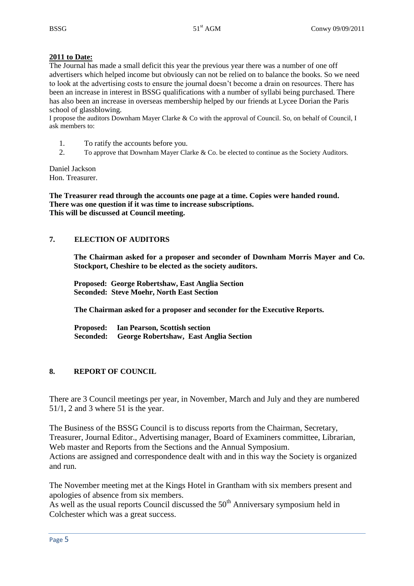### **2011 to Date:**

The Journal has made a small deficit this year the previous year there was a number of one off advertisers which helped income but obviously can not be relied on to balance the books. So we need to look at the advertising costs to ensure the journal doesn't become a drain on resources. There has been an increase in interest in BSSG qualifications with a number of syllabi being purchased. There has also been an increase in overseas membership helped by our friends at Lycee Dorian the Paris school of glassblowing.

I propose the auditors Downham Mayer Clarke & Co with the approval of Council. So, on behalf of Council, I ask members to:

- 1. To ratify the accounts before you.
- 2. To approve that Downham Mayer Clarke & Co. be elected to continue as the Society Auditors.

Daniel Jackson Hon. Treasurer.

**The Treasurer read through the accounts one page at a time. Copies were handed round. There was one question if it was time to increase subscriptions. This will be discussed at Council meeting.**

### **7. ELECTION OF AUDITORS**

**The Chairman asked for a proposer and seconder of Downham Morris Mayer and Co. Stockport, Cheshire to be elected as the society auditors.** 

**Proposed: George Robertshaw, East Anglia Section Seconded: Steve Moehr, North East Section**

 **The Chairman asked for a proposer and seconder for the Executive Reports.**

 **Proposed: Ian Pearson, Scottish section Seconded: George Robertshaw, East Anglia Section**

### **8. REPORT OF COUNCIL**

There are 3 Council meetings per year, in November, March and July and they are numbered 51/1, 2 and 3 where 51 is the year.

The Business of the BSSG Council is to discuss reports from the Chairman, Secretary, Treasurer, Journal Editor., Advertising manager, Board of Examiners committee, Librarian, Web master and Reports from the Sections and the Annual Symposium. Actions are assigned and correspondence dealt with and in this way the Society is organized and run.

The November meeting met at the Kings Hotel in Grantham with six members present and apologies of absence from six members.

As well as the usual reports Council discussed the  $50<sup>th</sup>$  Anniversary symposium held in Colchester which was a great success.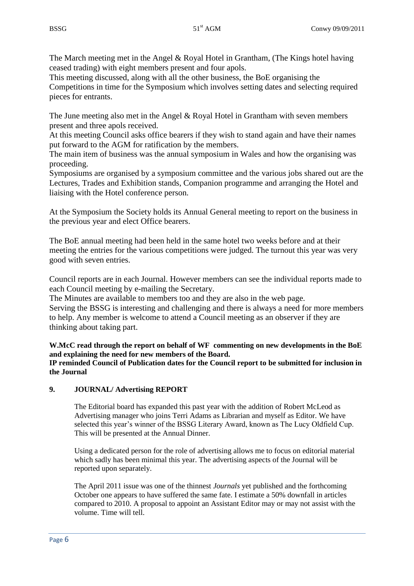The March meeting met in the Angel & Royal Hotel in Grantham, (The Kings hotel having ceased trading) with eight members present and four apols.

This meeting discussed, along with all the other business, the BoE organising the Competitions in time for the Symposium which involves setting dates and selecting required pieces for entrants.

The June meeting also met in the Angel & Royal Hotel in Grantham with seven members present and three apols received.

At this meeting Council asks office bearers if they wish to stand again and have their names put forward to the AGM for ratification by the members.

The main item of business was the annual symposium in Wales and how the organising was proceeding.

Symposiums are organised by a symposium committee and the various jobs shared out are the Lectures, Trades and Exhibition stands, Companion programme and arranging the Hotel and liaising with the Hotel conference person.

At the Symposium the Society holds its Annual General meeting to report on the business in the previous year and elect Office bearers.

The BoE annual meeting had been held in the same hotel two weeks before and at their meeting the entries for the various competitions were judged. The turnout this year was very good with seven entries.

Council reports are in each Journal. However members can see the individual reports made to each Council meeting by e-mailing the Secretary.

The Minutes are available to members too and they are also in the web page.

Serving the BSSG is interesting and challenging and there is always a need for more members to help. Any member is welcome to attend a Council meeting as an observer if they are thinking about taking part.

**W.McC read through the report on behalf of WF commenting on new developments in the BoE and explaining the need for new members of the Board.**

**IP reminded Council of Publication dates for the Council report to be submitted for inclusion in the Journal**

# **9. JOURNAL/ Advertising REPORT**

The Editorial board has expanded this past year with the addition of Robert McLeod as Advertising manager who joins Terri Adams as Librarian and myself as Editor. We have selected this year's winner of the BSSG Literary Award, known as The Lucy Oldfield Cup. This will be presented at the Annual Dinner.

Using a dedicated person for the role of advertising allows me to focus on editorial material which sadly has been minimal this year. The advertising aspects of the Journal will be reported upon separately.

The April 2011 issue was one of the thinnest *Journals* yet published and the forthcoming October one appears to have suffered the same fate. I estimate a 50% downfall in articles compared to 2010. A proposal to appoint an Assistant Editor may or may not assist with the volume. Time will tell.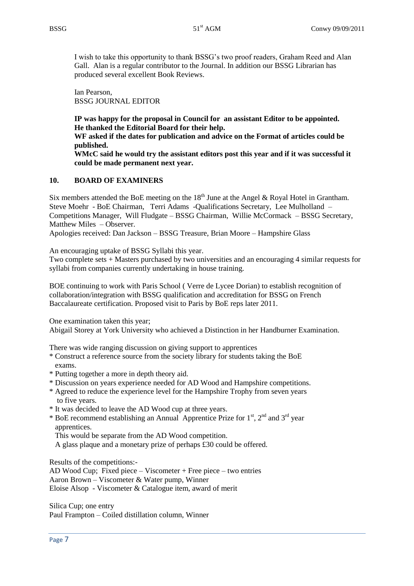I wish to take this opportunity to thank BSSG's two proof readers, Graham Reed and Alan Gall. Alan is a regular contributor to the Journal. In addition our BSSG Librarian has produced several excellent Book Reviews.

Ian Pearson, BSSG JOURNAL EDITOR

**IP was happy for the proposal in Council for an assistant Editor to be appointed. He thanked the Editorial Board for their help.**

**WF asked if the dates for publication and advice on the Format of articles could be published.**

**WMcC said he would try the assistant editors post this year and if it was successful it could be made permanent next year.**

### **10. BOARD OF EXAMINERS**

Six members attended the BoE meeting on the  $18<sup>th</sup>$  June at the Angel & Royal Hotel in Grantham. Steve Moehr - BoE Chairman, Terri Adams -Qualifications Secretary, Lee Mulholland – Competitions Manager, Will Fludgate – BSSG Chairman, Willie McCormack – BSSG Secretary, Matthew Miles – Observer.

Apologies received: Dan Jackson – BSSG Treasure, Brian Moore – Hampshire Glass

An encouraging uptake of BSSG Syllabi this year.

Two complete sets + Masters purchased by two universities and an encouraging 4 similar requests for syllabi from companies currently undertaking in house training.

BOE continuing to work with Paris School ( Verre de Lycee Dorian) to establish recognition of collaboration/integration with BSSG qualification and accreditation for BSSG on French Baccalaureate certification. Proposed visit to Paris by BoE reps later 2011.

One examination taken this year;

Abigail Storey at York University who achieved a Distinction in her Handburner Examination.

There was wide ranging discussion on giving support to apprentices

- \* Construct a reference source from the society library for students taking the BoE exams.
- \* Putting together a more in depth theory aid.
- \* Discussion on years experience needed for AD Wood and Hampshire competitions.
- \* Agreed to reduce the experience level for the Hampshire Trophy from seven years to five years.
- \* It was decided to leave the AD Wood cup at three years.
- \* BoE recommend establishing an Annual Apprentice Prize for  $1<sup>st</sup>$ ,  $2<sup>nd</sup>$  and  $3<sup>rd</sup>$  year apprentices.
	- This would be separate from the AD Wood competition.
	- A glass plaque and a monetary prize of perhaps £30 could be offered.

Results of the competitions:-

AD Wood Cup; Fixed piece – Viscometer + Free piece – two entries Aaron Brown – Viscometer & Water pump, Winner Eloise Alsop - Viscometer & Catalogue item, award of merit

Silica Cup; one entry Paul Frampton – Coiled distillation column, Winner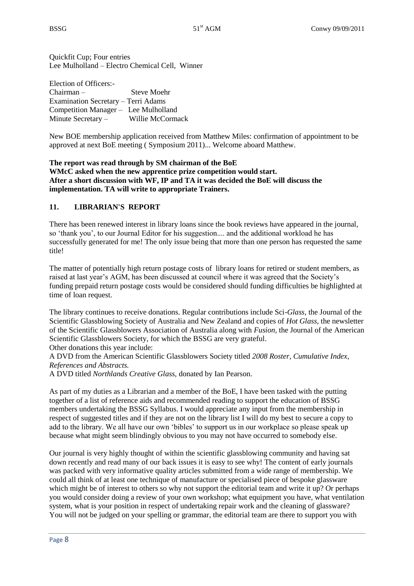Quickfit Cup; Four entries Lee Mulholland – Electro Chemical Cell, Winner

Election of Officers:- Chairman – Steve Moehr Examination Secretary – Terri Adams Competition Manager – Lee Mulholland Minute Secretary – Willie McCormack

New BOE membership application received from Matthew Miles: confirmation of appointment to be approved at next BoE meeting ( Symposium 2011)... Welcome aboard Matthew.

### **The report was read through by SM chairman of the BoE WMcC asked when the new apprentice prize competition would start. After a short discussion with WF, IP and TA it was decided the BoE will discuss the implementation. TA will write to appropriate Trainers.**

# **11. LIBRARIAN'S REPORT**

There has been renewed interest in library loans since the book reviews have appeared in the journal, so 'thank you', to our Journal Editor for his suggestion.... and the additional workload he has successfully generated for me! The only issue being that more than one person has requested the same title!

The matter of potentially high return postage costs of library loans for retired or student members, as raised at last year's AGM, has been discussed at council where it was agreed that the Society's funding prepaid return postage costs would be considered should funding difficulties be highlighted at time of loan request.

The library continues to receive donations. Regular contributions include Sci*-Glass,* the Journal of the Scientific Glassblowing Society of Australia and New Zealand and copies of *Hot Glass,* the newsletter of the Scientific Glassblowers Association of Australia along with *Fusion,* the Journal of the American Scientific Glassblowers Society, for which the BSSG are very grateful.

Other donations this year include:

A DVD from the American Scientific Glassblowers Society titled *2008 Roster, Cumulative Index, References and Abstracts.* 

A DVD titled *Northlands Creative Glass,* donated by Ian Pearson.

As part of my duties as a Librarian and a member of the BoE, I have been tasked with the putting together of a list of reference aids and recommended reading to support the education of BSSG members undertaking the BSSG Syllabus. I would appreciate any input from the membership in respect of suggested titles and if they are not on the library list I will do my best to secure a copy to add to the library. We all have our own 'bibles' to support us in our workplace so please speak up because what might seem blindingly obvious to you may not have occurred to somebody else.

Our journal is very highly thought of within the scientific glassblowing community and having sat down recently and read many of our back issues it is easy to see why! The content of early journals was packed with very informative quality articles submitted from a wide range of membership. We could all think of at least one technique of manufacture or specialised piece of bespoke glassware which might be of interest to others so why not support the editorial team and write it up? Or perhaps you would consider doing a review of your own workshop; what equipment you have, what ventilation system, what is your position in respect of undertaking repair work and the cleaning of glassware? You will not be judged on your spelling or grammar, the editorial team are there to support you with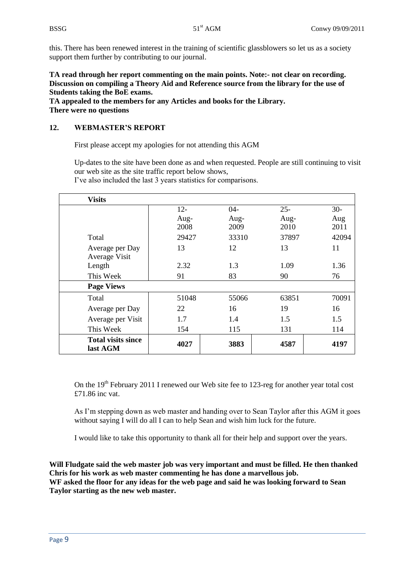this. There has been renewed interest in the training of scientific glassblowers so let us as a society support them further by contributing to our journal.

**TA read through her report commenting on the main points. Note:- not clear on recording. Discussion on compiling a Theory Aid and Reference source from the library for the use of Students taking the BoE exams.**

**TA appealed to the members for any Articles and books for the Library. There were no questions**

# **12. WEBMASTER'S REPORT**

First please accept my apologies for not attending this AGM

Up-dates to the site have been done as and when requested. People are still continuing to visit our web site as the site traffic report below shows,

| <b>Visits</b>             |        |       |        |       |
|---------------------------|--------|-------|--------|-------|
|                           | $12 -$ | $04-$ | $25 -$ | $30-$ |
|                           | Aug-   | Aug-  | Aug-   | Aug   |
|                           | 2008   | 2009  | 2010   | 2011  |
| Total                     | 29427  | 33310 | 37897  | 42094 |
| Average per Day           | 13     | 12    | 13     | 11    |
| Average Visit             |        |       |        |       |
| Length                    | 2.32   | 1.3   | 1.09   | 1.36  |
| This Week                 | 91     | 83    | 90     | 76    |
| <b>Page Views</b>         |        |       |        |       |
| Total                     | 51048  | 55066 | 63851  | 70091 |
| Average per Day           | 22     | 16    | 19     | 16    |
| Average per Visit         | 1.7    | 1.4   | 1.5    | 1.5   |
| This Week                 | 154    | 115   | 131    | 114   |
| <b>Total visits since</b> | 4027   | 3883  | 4587   | 4197  |
| last AGM                  |        |       |        |       |

I've also included the last 3 years statistics for comparisons.

On the  $19<sup>th</sup>$  February 2011 I renewed our Web site fee to 123-reg for another year total cost £71.86 inc vat.

As I'm stepping down as web master and handing over to Sean Taylor after this AGM it goes without saying I will do all I can to help Sean and wish him luck for the future.

I would like to take this opportunity to thank all for their help and support over the years.

**Will Fludgate said the web master job was very important and must be filled. He then thanked Chris for his work as web master commenting he has done a marvellous job. WF asked the floor for any ideas for the web page and said he was looking forward to Sean Taylor starting as the new web master.**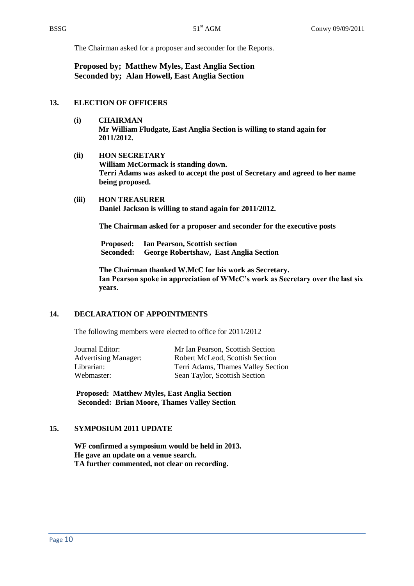The Chairman asked for a proposer and seconder for the Reports.

**Proposed by; Matthew Myles, East Anglia Section Seconded by; Alan Howell, East Anglia Section**

### **13. ELECTION OF OFFICERS**

- **(i) CHAIRMAN Mr William Fludgate, East Anglia Section is willing to stand again for 2011/2012.**
- **(ii) HON SECRETARY William McCormack is standing down. Terri Adams was asked to accept the post of Secretary and agreed to her name being proposed.**
- **(iii) HON TREASURER Daniel Jackson is willing to stand again for 2011/2012.**

**The Chairman asked for a proposer and seconder for the executive posts**

**Proposed: Ian Pearson, Scottish section Seconded: George Robertshaw, East Anglia Section**

**The Chairman thanked W.McC for his work as Secretary. Ian Pearson spoke in appreciation of WMcC's work as Secretary over the last six years.**

### **14. DECLARATION OF APPOINTMENTS**

The following members were elected to office for 2011/2012

| Mr Ian Pearson, Scottish Section   |
|------------------------------------|
| Robert McLeod, Scottish Section    |
| Terri Adams, Thames Valley Section |
| Sean Taylor, Scottish Section      |
|                                    |

 **Proposed: Matthew Myles, East Anglia Section Seconded: Brian Moore, Thames Valley Section**

### **15. SYMPOSIUM 2011 UPDATE**

**WF confirmed a symposium would be held in 2013. He gave an update on a venue search. TA further commented, not clear on recording.**